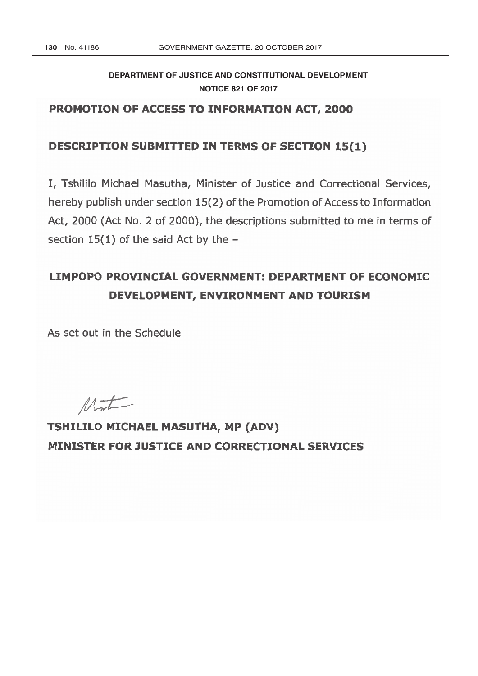## **[DEPARTMENT OF JUSTICE AND CONSTITUTIONAL DEVELOPMENT](http://www.greengazette.co.za/departments/justice) NOTICE 821 OF 2017**

## PROMOTION OF ACCESS TO INFORMATION ACT, 2000

### DESCRIPTION SUBMITTED IN TERMS OF SECTION 15(1)

I, Tshililo Michael Masutha, Minister of Justice and Correctional Services, hereby publish under section 15(2) of the Promotion of Access to Information Act, 2000 (Act No. 2 of 2000), the descriptions submitted to me in terms of section  $15(1)$  of the said Act by the  $-$ 

# LIMPOPO PROVINCIAL GOVERNMENT: DEPARTMENT OF ECONOMIC DEVELOPMENT, ENVIRONMENT AND TOURISM

As set out in the Schedule

 $M_{\nu}$ 

TSHILILO MICHAEL MASUTHA, MP (ADV) **MINISTER FOR JUSTICE AND CORRECTIONAL SERVICES**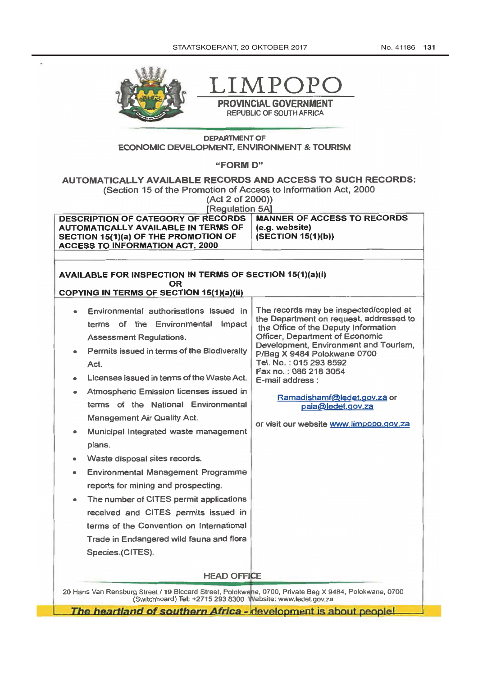No. 41186 131



.IMP

PROVINCIAL GOVERNMENT **REPUBLIC OF SOUTH AFRICA** 

### **DEPARTMENT OF** ECONOMIC DEVELOPMENT, ENVIRONMENT & TOURISM

"FORM D"

AUTOMATICALLY AVAILABLE RECORDS AND ACCESS TO SUCH RECORDS:

(Section 15 of the Promotion of Access to Information Act, 2000)

(Act 2 of 2000)) [Regulation 5A]

**DESCRIPTION OF CATEGORY OF RECORDS** AUTOMATICALLY AVAILABLE IN TERMS OF SECTION 15(1)(a) OF THE PROMOTION OF **ACCESS TO INFORMATION ACT, 2000** 

**MANNER OF ACCESS TO RECORDS** (e.g. website)  $(SECTION 15(1)(b))$ 

#### **AVAILABLE FOR INSPECTION IN TERMS OF SECTION 15(1)(a)(i) OR COPYING IN TERMS OF SECTION 15(1)(a)(ii)**

| Environmental authorisations issued in<br>terms of the Environmental<br>Impact<br><b>Assessment Regulations.</b><br>Permits issued in terms of the Biodiversity<br>Act.<br>Licenses issued in terms of the Waste Act.<br>۰<br>Atmospheric Emission licenses issued in<br>٠<br>terms of the National Environmental<br><b>Management Air Quality Act.</b><br>Municipal Integrated waste management<br>۰<br>plans.<br>Waste disposal sites records.<br>٠<br><b>Environmental Management Programme</b><br>۰<br>reports for mining and prospecting.<br>The number of CITES permit applications<br>۰<br>received and CITES permits issued in<br>terms of the Convention on International<br>Trade in Endangered wild fauna and flora | The records may be inspected/copied at<br>the Department on request, addressed to<br>the Office of the Deputy Information<br><b>Officer, Department of Economic</b><br>Development, Environment and Tourism,<br>P/Bag X 9484 Polokwane 0700<br>Tel. No.: 015 293 8592<br>Fax no.: 086 218 3054<br>E-mail address :<br>Ramadishamf@ledet.gov.za or<br>paja@ledet.gov.za<br>or visit our website www.limpopo.gov.za |  |
|--------------------------------------------------------------------------------------------------------------------------------------------------------------------------------------------------------------------------------------------------------------------------------------------------------------------------------------------------------------------------------------------------------------------------------------------------------------------------------------------------------------------------------------------------------------------------------------------------------------------------------------------------------------------------------------------------------------------------------|-------------------------------------------------------------------------------------------------------------------------------------------------------------------------------------------------------------------------------------------------------------------------------------------------------------------------------------------------------------------------------------------------------------------|--|
|                                                                                                                                                                                                                                                                                                                                                                                                                                                                                                                                                                                                                                                                                                                                |                                                                                                                                                                                                                                                                                                                                                                                                                   |  |
| Species.(CITES).                                                                                                                                                                                                                                                                                                                                                                                                                                                                                                                                                                                                                                                                                                               |                                                                                                                                                                                                                                                                                                                                                                                                                   |  |
| <b>HEAD OFFICE</b><br>20 Hans Van Rensburg Street / 19 Biccard Street, Polokwane, 0700, Private Bag X 9484, Polokwane, 0700                                                                                                                                                                                                                                                                                                                                                                                                                                                                                                                                                                                                    |                                                                                                                                                                                                                                                                                                                                                                                                                   |  |
| (Switchboard) Tel: +2715 293 8300 Website: www.ledet.gov.za<br>where the contributions of the contribution of the contribution of the contribution of the contribution of the                                                                                                                                                                                                                                                                                                                                                                                                                                                                                                                                                  |                                                                                                                                                                                                                                                                                                                                                                                                                   |  |

The heartland of southern Africa - development is about people!